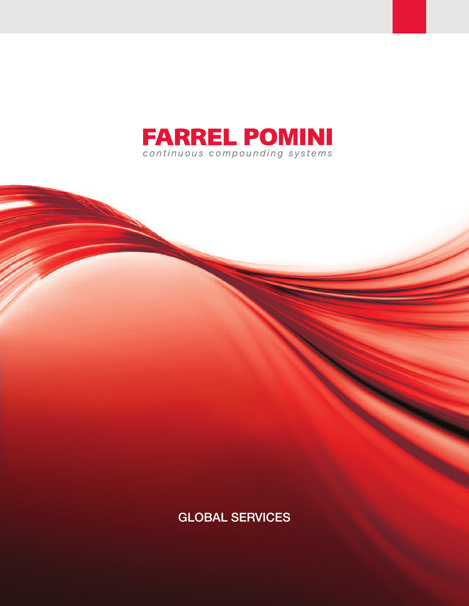

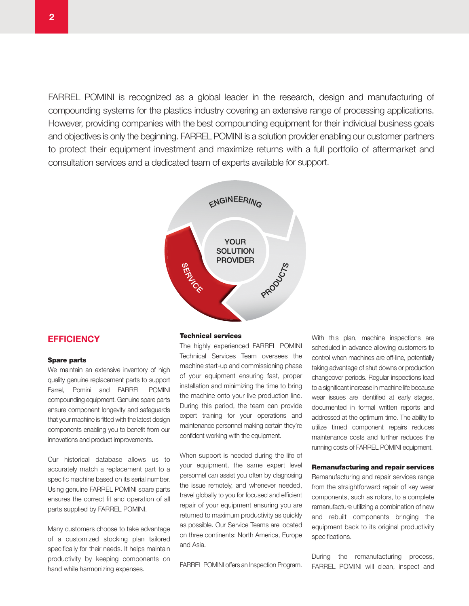FARREL POMINI is recognized as a global leader in the research, design and manufacturing of compounding systems for the plastics industry covering an extensive range of processing applications. However, providing companies with the best compounding equipment for their individual business goals and objectives is only the beginning. FARREL POMINI is a solution provider enabling our customer partners to protect their equipment investment and maximize returns with a full portfolio of aftermarket and consultation services and a dedicated team of experts available for support.



# **EfficiEncy**

#### **Spare parts**

We maintain an extensive inventory of high quality genuine replacement parts to support Farrel, Pomini and FARREL POMINI compounding equipment. Genuine spare parts ensure component longevity and safeguards that your machine is fitted with the latest design components enabling you to benefit from our innovations and product improvements.

Our historical database allows us to accurately match a replacement part to a specific machine based on its serial number. Using genuine FARREL POMINI spare parts ensures the correct fit and operation of all parts supplied by FARREL POMINI.

Many customers choose to take advantage of a customized stocking plan tailored specifically for their needs. It helps maintain productivity by keeping components on hand while harmonizing expenses.

#### **Technical services**

The highly experienced FARREL POMINI Technical Services Team oversees the machine start-up and commissioning phase of your equipment ensuring fast, proper installation and minimizing the time to bring the machine onto your live production line. During this period, the team can provide expert training for your operations and maintenance personnel making certain they're confident working with the equipment.

When support is needed during the life of your equipment, the same expert level personnel can assist you often by diagnosing the issue remotely, and whenever needed, travel globally to you for focused and efficient repair of your equipment ensuring you are returned to maximum productivity as quickly as possible. Our Service Teams are located on three continents: North America, Europe and Asia.

FARREL POMINI offers an Inspection Program.

With this plan, machine inspections are scheduled in advance allowing customers to control when machines are off-line, potentially taking advantage of shut downs or production changeover periods. Regular inspections lead to a significant increase in machine life because wear issues are identified at early stages, documented in formal written reports and addressed at the optimum time. The ability to utilize timed component repairs reduces maintenance costs and further reduces the running costs of FARREL POMINI equipment.

## **Remanufacturing and repair services**

Remanufacturing and repair services range from the straightforward repair of key wear components, such as rotors, to a complete remanufacture utilizing a combination of new and rebuilt components bringing the equipment back to its original productivity specifications.

During the remanufacturing process, FARREL POMINI will clean, inspect and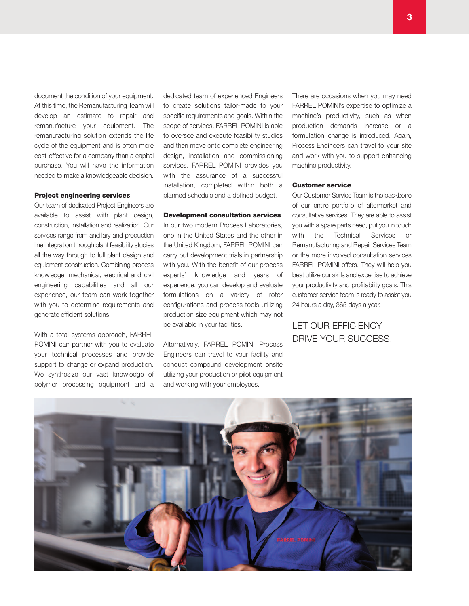document the condition of your equipment. At this time, the Remanufacturing Team will develop an estimate to repair and remanufacture your equipment. The remanufacturing solution extends the life cycle of the equipment and is often more cost-effective for a company than a capital purchase. You will have the information needed to make a knowledgeable decision.

#### **Project engineering services**

Our team of dedicated Project Engineers are available to assist with plant design, construction, installation and realization. Our services range from ancillary and production line integration through plant feasibility studies all the way through to full plant design and equipment construction. Combining process knowledge, mechanical, electrical and civil engineering capabilities and all our experience, our team can work together with you to determine requirements and generate efficient solutions.

With a total systems approach, FARREL POMINI can partner with you to evaluate your technical processes and provide support to change or expand production. We synthesize our vast knowledge of polymer processing equipment and a

dedicated team of experienced Engineers to create solutions tailor-made to your specific requirements and goals. Within the scope of services, FARREL POMINI is able to oversee and execute feasibility studies and then move onto complete engineering design, installation and commissioning services. FARREL POMINI provides you with the assurance of a successful installation, completed within both a planned schedule and a defined budget.

### **Development consultation services**

In our two modern Process Laboratories, one in the United States and the other in the United Kingdom, FARREL POMINI can carry out development trials in partnership with you. With the benefit of our process experts' knowledge and years of experience, you can develop and evaluate formulations on a variety of rotor configurations and process tools utilizing production size equipment which may not be available in your facilities.

Alternatively, FARREL POMINI Process Engineers can travel to your facility and conduct compound development onsite utilizing your production or pilot equipment and working with your employees.

There are occasions when you may need FARREL POMINI's expertise to optimize a machine's productivity, such as when production demands increase or a formulation change is introduced. Again, Process Engineers can travel to your site and work with you to support enhancing machine productivity.

## **Customer service**

Our Customer Service Team is the backbone of our entire portfolio of aftermarket and consultative services. They are able to assist you with a spare parts need, put you in touch with the Technical Services or Remanufacturing and Repair Services Team or the more involved consultation services FARREL POMINI offers. They will help you best utilize our skills and expertise to achieve your productivity and profitability goals. This customer service team is ready to assist you 24 hours a day, 365 days a year.

# LET OUR EFFICIENCY DRIvE YOUR SUCCESS.